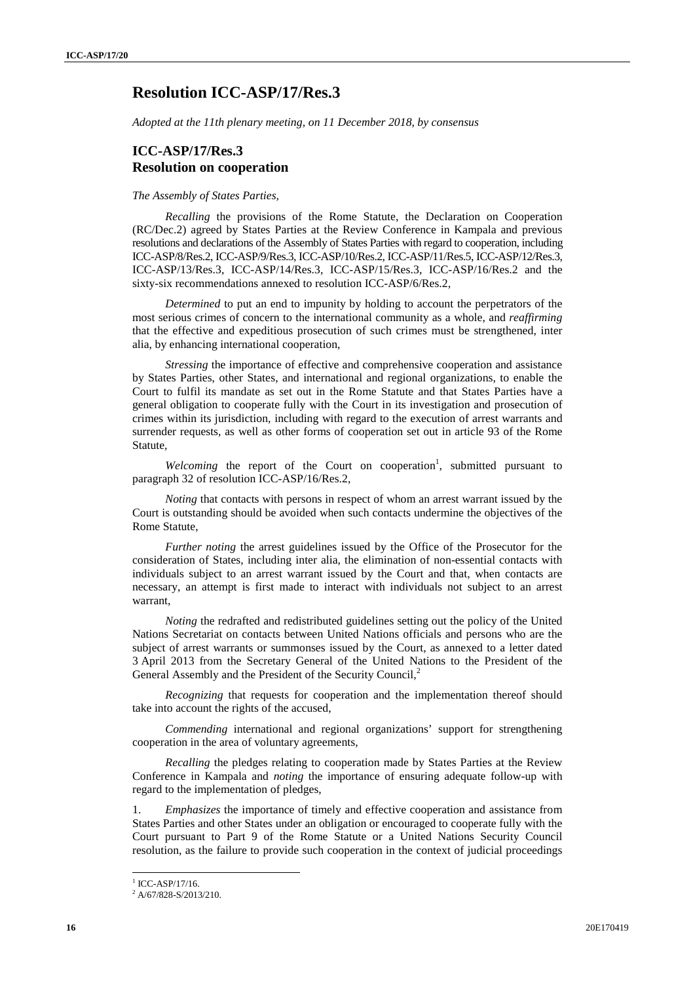## **Resolution ICC-ASP/17/Res.3**

*Adopted at the 11th plenary meeting, on 11 December 2018, by consensus*

## **ICC-ASP/17/Res.3 Resolution on cooperation**

## *The Assembly of States Parties,*

*Recalling* the provisions of the Rome Statute, the Declaration on Cooperation (RC/Dec.2) agreed by States Parties at the Review Conference in Kampala and previous resolutions and declarations of the Assembly of States Parties with regard to cooperation, including ICC-ASP/8/Res.2, ICC-ASP/9/Res.3, ICC-ASP/10/Res.2, ICC-ASP/11/Res.5, ICC-ASP/12/Res.3, ICC-ASP/13/Res.3, ICC-ASP/14/Res.3, ICC-ASP/15/Res.3, ICC-ASP/16/Res.2 and the sixty-six recommendations annexed to resolution ICC-ASP/6/Res.2,

*Determined* to put an end to impunity by holding to account the perpetrators of the most serious crimes of concern to the international community as a whole, and *reaffirming* that the effective and expeditious prosecution of such crimes must be strengthened, inter alia, by enhancing international cooperation,

*Stressing* the importance of effective and comprehensive cooperation and assistance by States Parties, other States, and international and regional organizations, to enable the Court to fulfil its mandate as set out in the Rome Statute and that States Parties have a general obligation to cooperate fully with the Court in its investigation and prosecution of crimes within its jurisdiction, including with regard to the execution of arrest warrants and surrender requests, as well as other forms of cooperation set out in article 93 of the Rome Statute,

Welcoming the report of the Court on cooperation<sup>1</sup>, submitted pursuant to paragraph 32 of resolution ICC-ASP/16/Res.2,

*Noting* that contacts with persons in respect of whom an arrest warrant issued by the Court is outstanding should be avoided when such contacts undermine the objectives of the Rome Statute,

*Further noting* the arrest guidelines issued by the Office of the Prosecutor for the consideration of States, including inter alia, the elimination of non-essential contacts with individuals subject to an arrest warrant issued by the Court and that, when contacts are necessary, an attempt is first made to interact with individuals not subject to an arrest warrant,

*Noting* the redrafted and redistributed guidelines setting out the policy of the United Nations Secretariat on contacts between United Nations officials and persons who are the subject of arrest warrants or summonses issued by the Court, as annexed to a letter dated 3 April 2013 from the Secretary General of the United Nations to the President of the General Assembly and the President of the Security Council,<sup>2</sup>

*Recognizing* that requests for cooperation and the implementation thereof should take into account the rights of the accused,

*Commending* international and regional organizations' support for strengthening cooperation in the area of voluntary agreements,

*Recalling* the pledges relating to cooperation made by States Parties at the Review Conference in Kampala and *noting* the importance of ensuring adequate follow-up with regard to the implementation of pledges,

1. *Emphasizes* the importance of timely and effective cooperation and assistance from States Parties and other States under an obligation or encouraged to cooperate fully with the Court pursuant to Part 9 of the Rome Statute or a United Nations Security Council resolution, as the failure to provide such cooperation in the context of judicial proceedings

 $\frac{1}{2}$  ICC-ASP/17/16.<br> $\frac{2}{1}$ A/67/828-S/2013/210.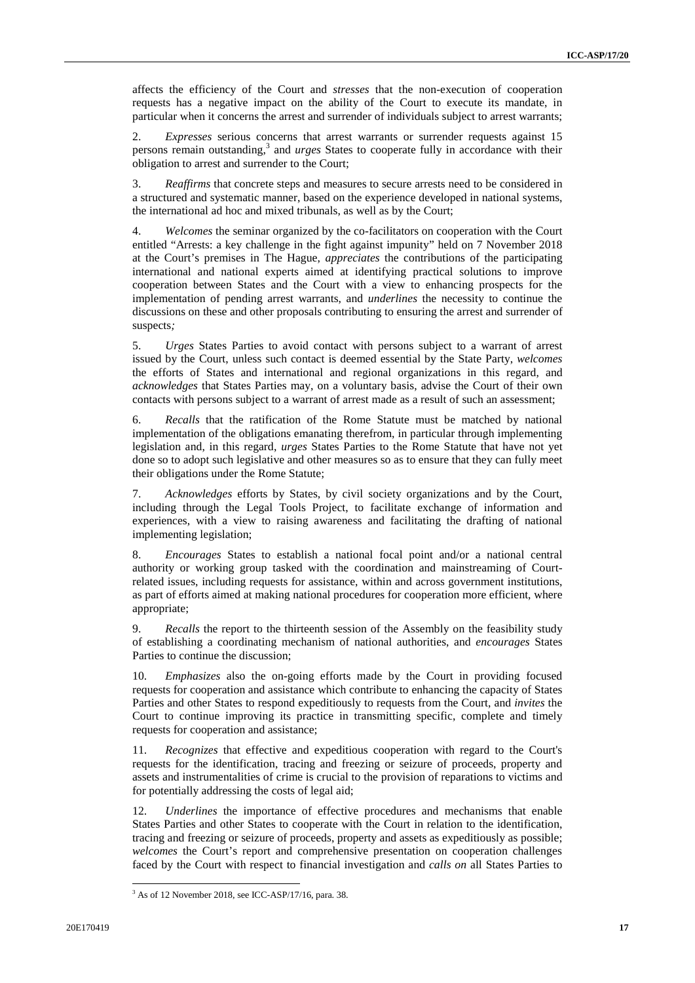affects the efficiency of the Court and *stresses* that the non-execution of cooperation requests has a negative impact on the ability of the Court to execute its mandate, in particular when it concerns the arrest and surrender of individuals subject to arrest warrants;

2. *Expresses* serious concerns that arrest warrants or surrender requests against 15 persons remain outstanding,<sup>3</sup> and *urges* States to cooperate fully in accordance with their obligation to arrest and surrender to the Court;

3. *Reaffirms* that concrete steps and measures to secure arrests need to be considered in a structured and systematic manner, based on the experience developed in national systems, the international ad hoc and mixed tribunals, as well as by the Court;

4. *Welcomes* the seminar organized by the co-facilitators on cooperation with the Court entitled "Arrests: a key challenge in the fight against impunity" held on 7 November 2018 at the Court's premises in The Hague, *appreciates* the contributions of the participating international and national experts aimed at identifying practical solutions to improve cooperation between States and the Court with a view to enhancing prospects for the implementation of pending arrest warrants, and *underlines* the necessity to continue the discussions on these and other proposals contributing to ensuring the arrest and surrender of suspects*;*

5. *Urges* States Parties to avoid contact with persons subject to a warrant of arrest issued by the Court, unless such contact is deemed essential by the State Party, *welcomes* the efforts of States and international and regional organizations in this regard, and *acknowledges* that States Parties may, on a voluntary basis, advise the Court of their own contacts with persons subject to a warrant of arrest made as a result of such an assessment;

6. *Recalls* that the ratification of the Rome Statute must be matched by national implementation of the obligations emanating therefrom, in particular through implementing legislation and, in this regard, *urges* States Parties to the Rome Statute that have not yet done so to adopt such legislative and other measures so as to ensure that they can fully meet their obligations under the Rome Statute;

7. *Acknowledges* efforts by States, by civil society organizations and by the Court, including through the Legal Tools Project, to facilitate exchange of information and experiences, with a view to raising awareness and facilitating the drafting of national implementing legislation;

8. *Encourages* States to establish a national focal point and/or a national central authority or working group tasked with the coordination and mainstreaming of Courtrelated issues, including requests for assistance, within and across government institutions, as part of efforts aimed at making national procedures for cooperation more efficient, where appropriate;

9. *Recalls* the report to the thirteenth session of the Assembly on the feasibility study of establishing a coordinating mechanism of national authorities, and *encourages* States Parties to continue the discussion;

10. *Emphasizes* also the on-going efforts made by the Court in providing focused requests for cooperation and assistance which contribute to enhancing the capacity of States Parties and other States to respond expeditiously to requests from the Court, and *invites* the Court to continue improving its practice in transmitting specific, complete and timely requests for cooperation and assistance;

11. *Recognizes* that effective and expeditious cooperation with regard to the Court's requests for the identification, tracing and freezing or seizure of proceeds, property and assets and instrumentalities of crime is crucial to the provision of reparations to victims and for potentially addressing the costs of legal aid;

12. *Underlines* the importance of effective procedures and mechanisms that enable States Parties and other States to cooperate with the Court in relation to the identification, tracing and freezing or seizure of proceeds, property and assets as expeditiously as possible; *welcomes* the Court's report and comprehensive presentation on cooperation challenges faced by the Court with respect to financial investigation and *calls on* all States Parties to

 $3$  As of 12 November 2018, see ICC-ASP/17/16, para. 38.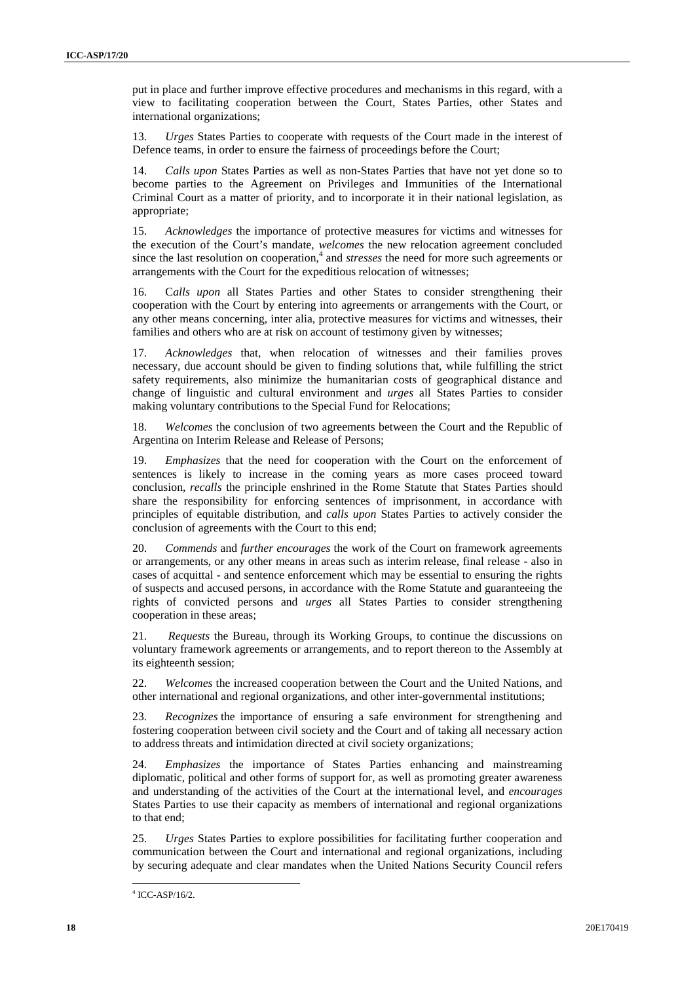put in place and further improve effective procedures and mechanisms in this regard, with a view to facilitating cooperation between the Court, States Parties, other States and international organizations;

13. *Urges* States Parties to cooperate with requests of the Court made in the interest of Defence teams, in order to ensure the fairness of proceedings before the Court;

14. *Calls upon* States Parties as well as non-States Parties that have not yet done so to become parties to the Agreement on Privileges and Immunities of the International Criminal Court as a matter of priority, and to incorporate it in their national legislation, as appropriate;

15. *Acknowledges* the importance of protective measures for victims and witnesses for the execution of the Court's mandate, *welcomes* the new relocation agreement concluded since the last resolution on cooperation,<sup>4</sup> and *stresses* the need for more such agreements or arrangements with the Court for the expeditious relocation of witnesses;

16. C*alls upon* all States Parties and other States to consider strengthening their cooperation with the Court by entering into agreements or arrangements with the Court, or any other means concerning, inter alia, protective measures for victims and witnesses, their families and others who are at risk on account of testimony given by witnesses;

17. *Acknowledges* that, when relocation of witnesses and their families proves necessary, due account should be given to finding solutions that, while fulfilling the strict safety requirements, also minimize the humanitarian costs of geographical distance and change of linguistic and cultural environment and *urges* all States Parties to consider making voluntary contributions to the Special Fund for Relocations;

18. *Welcomes* the conclusion of two agreements between the Court and the Republic of Argentina on Interim Release and Release of Persons;

19. *Emphasizes* that the need for cooperation with the Court on the enforcement of sentences is likely to increase in the coming years as more cases proceed toward conclusion, *recalls* the principle enshrined in the Rome Statute that States Parties should share the responsibility for enforcing sentences of imprisonment, in accordance with principles of equitable distribution, and *calls upon* States Parties to actively consider the conclusion of agreements with the Court to this end;

20. *Commends* and *further encourages* the work of the Court on framework agreements or arrangements, or any other means in areas such as interim release, final release - also in cases of acquittal - and sentence enforcement which may be essential to ensuring the rights of suspects and accused persons, in accordance with the Rome Statute and guaranteeing the rights of convicted persons and *urges* all States Parties to consider strengthening cooperation in these areas;

21. *Requests* the Bureau, through its Working Groups, to continue the discussions on voluntary framework agreements or arrangements, and to report thereon to the Assembly at its eighteenth session;

22. *Welcomes* the increased cooperation between the Court and the United Nations, and other international and regional organizations, and other inter-governmental institutions;

23. *Recognizes* the importance of ensuring a safe environment for strengthening and fostering cooperation between civil society and the Court and of taking all necessary action to address threats and intimidation directed at civil society organizations;

24. *Emphasizes* the importance of States Parties enhancing and mainstreaming diplomatic, political and other forms of support for, as well as promoting greater awareness and understanding of the activities of the Court at the international level, and *encourages* States Parties to use their capacity as members of international and regional organizations to that end;

25. *Urges* States Parties to explore possibilities for facilitating further cooperation and communication between the Court and international and regional organizations, including by securing adequate and clear mandates when the United Nations Security Council refers

 $4$  ICC-ASP/16/2.